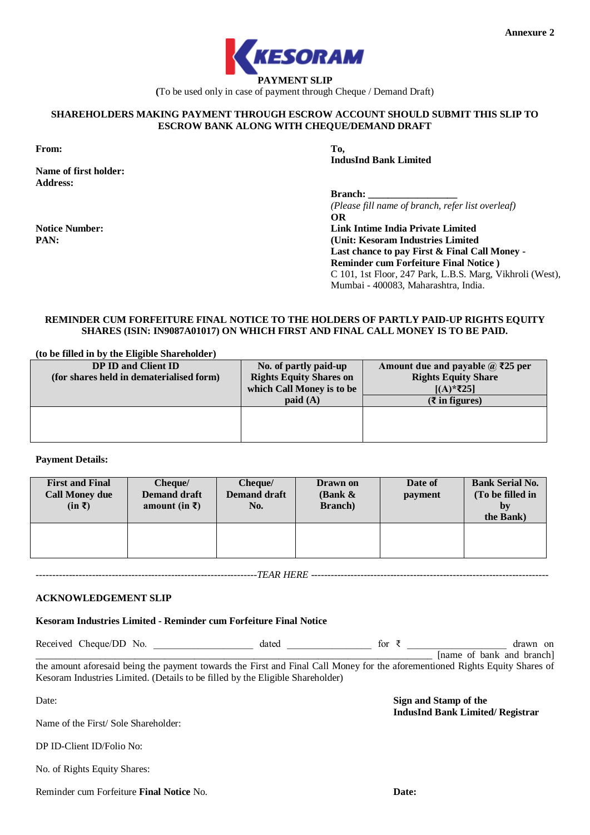

**(**To be used only in case of payment through Cheque / Demand Draft)

# **SHAREHOLDERS MAKING PAYMENT THROUGH ESCROW ACCOUNT SHOULD SUBMIT THIS SLIP TO ESCROW BANK ALONG WITH CHEQUE/DEMAND DRAFT**

**From: To,**

**PAN:**

**Name of first holder: Address:**

**Notice Number:**

**IndusInd Bank Limited**

**Branch:** 

*(Please fill name of branch, refer list overleaf)* **OR Link Intime India Private Limited**

**(Unit: Kesoram Industries Limited Last chance to pay First & Final Call Money - Reminder cum Forfeiture Final Notice )** C 101, 1st Floor, 247 Park, L.B.S. Marg, Vikhroli (West), Mumbai - 400083, Maharashtra, India.

# **REMINDER CUM FORFEITURE FINAL NOTICE TO THE HOLDERS OF PARTLY PAID-UP RIGHTS EQUITY SHARES (ISIN: IN9087A01017) ON WHICH FIRST AND FINAL CALL MONEY IS TO BE PAID.**

| (to be filled in by the Eligible Shareholder) |                                |                                              |
|-----------------------------------------------|--------------------------------|----------------------------------------------|
| <b>DP ID and Client ID</b>                    | No. of partly paid-up          | Amount due and payable $\mathcal{Q}$ ₹25 per |
| (for shares held in dematerialised form)      | <b>Rights Equity Shares on</b> | <b>Rights Equity Share</b>                   |
|                                               | which Call Money is to be      | $[(A)*225]$                                  |
|                                               | $p$ aid $(A)$                  | $(\xi$ in figures)                           |
|                                               |                                |                                              |
|                                               |                                |                                              |
|                                               |                                |                                              |

# **Payment Details:**

| <b>First and Final</b><br><b>Call Money due</b><br>$(in \bar{z})$ | Cheque/<br><b>Demand draft</b><br>amount (in $\bar{x}$ ) | Cheque/<br><b>Demand draft</b><br>No. | Drawn on<br>(Bank $\&$<br><b>Branch</b> ) | Date of<br>payment | <b>Bank Serial No.</b><br>(To be filled in<br>by<br>the Bank) |
|-------------------------------------------------------------------|----------------------------------------------------------|---------------------------------------|-------------------------------------------|--------------------|---------------------------------------------------------------|
|                                                                   |                                                          |                                       |                                           |                    |                                                               |

*-------------------------------------------------------------------TEAR HERE ------------------------------------------------------------------------*

#### **ACKNOWLEDGEMENT SLIP**

**Kesoram Industries Limited - Reminder cum Forfeiture Final Notice**

Received Cheque/DD No.  $\det$  dated  $\det$  for  $\bar{\zeta}$  and  $\det$  drawn on

 $\frac{1}{2}$  [name of bank and branch] the amount aforesaid being the payment towards the First and Final Call Money for the aforementioned Rights Equity Shares of Kesoram Industries Limited. (Details to be filled by the Eligible Shareholder)

Date:

**Sign and Stamp of the IndusInd Bank Limited/ Registrar**

Reminder cum Forfeiture **Final Notice** No.

Name of the First/ Sole Shareholder:

DP ID-Client ID/Folio No:

No. of Rights Equity Shares: